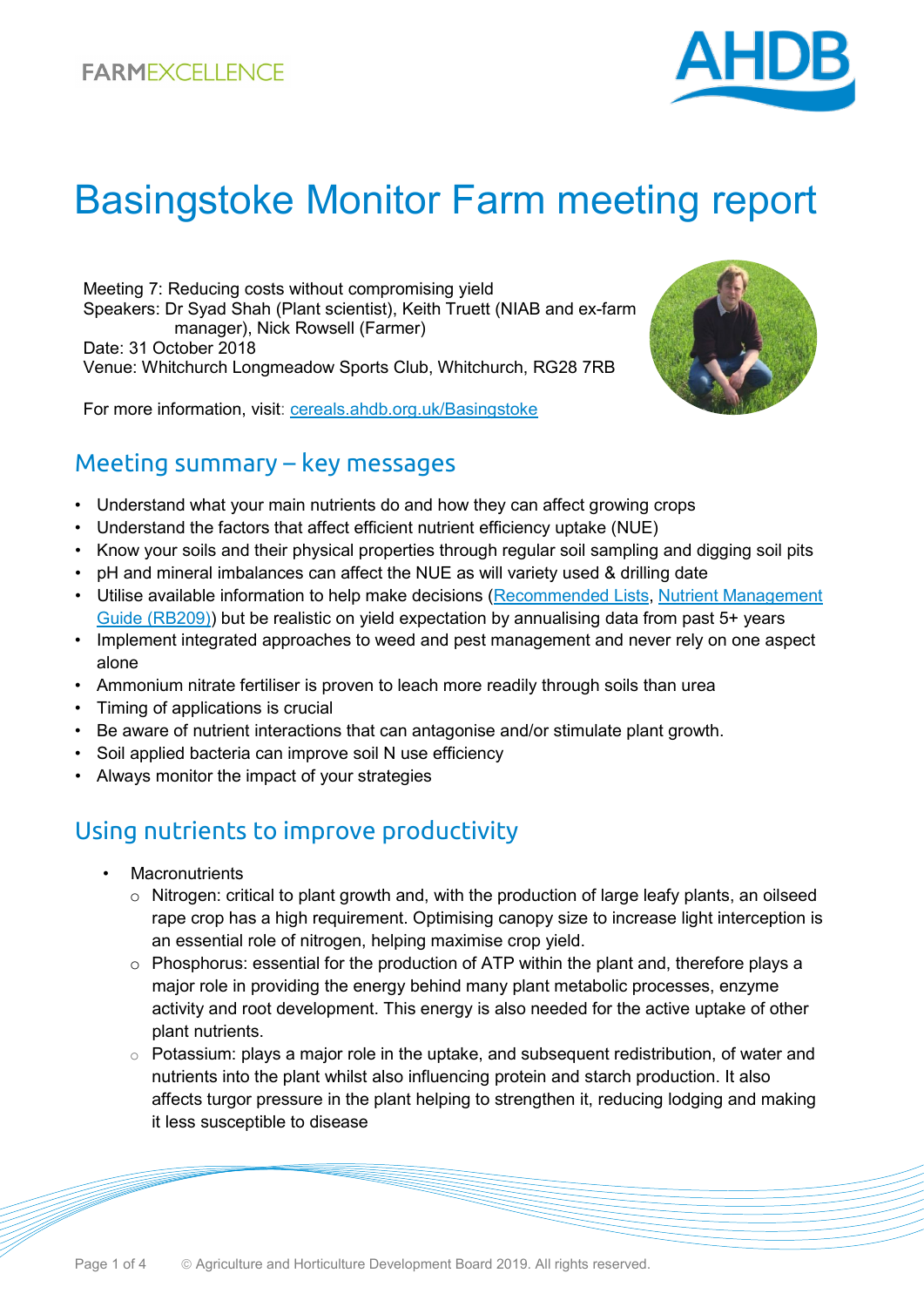

# Basingstoke Monitor Farm meeting report

Meeting 7: Reducing costs without compromising yield Speakers: Dr Syad Shah (Plant scientist), Keith Truett (NIAB and ex-farm manager), Nick Rowsell (Farmer) Date: 31 October 2018 Venue: Whitchurch Longmeadow Sports Club, Whitchurch, RG28 7RB

For more information, visit: [cereals.ahdb.org.uk/Basingstoke](https://cereals.ahdb.org.uk/get-involved/monitorfarms/basingstoke-monitor-farm.aspx)



#### Meeting summary – key messages

- Understand what your main nutrients do and how they can affect growing crops
- Understand the factors that affect efficient nutrient efficiency uptake (NUE)
- Know your soils and their physical properties through regular soil sampling and digging soil pits
- pH and mineral imbalances can affect the NUE as will variety used & drilling date
- Utilise available information to help make decisions [\(Recommended Lists,](https://www.ahdb.org.uk/rl) Nutrient Management [Guide \(RB209\)\)](https://www.ahdb.org.uk/knowledge-library/rb209-section-1-principles-of-nutrient-management-and-fertiliser-use) but be realistic on yield expectation by annualising data from past 5+ years
- Implement integrated approaches to weed and pest management and never rely on one aspect alone
- Ammonium nitrate fertiliser is proven to leach more readily through soils than urea
- Timing of applications is crucial
- Be aware of nutrient interactions that can antagonise and/or stimulate plant growth.
- Soil applied bacteria can improve soil N use efficiency
- Always monitor the impact of your strategies

### Using nutrients to improve productivity

- **Macronutrients** 
	- o Nitrogen: critical to plant growth and, with the production of large leafy plants, an oilseed rape crop has a high requirement. Optimising canopy size to increase light interception is an essential role of nitrogen, helping maximise crop yield.
	- o Phosphorus: essential for the production of ATP within the plant and, therefore plays a major role in providing the energy behind many plant metabolic processes, enzyme activity and root development. This energy is also needed for the active uptake of other plant nutrients.
	- o Potassium: plays a major role in the uptake, and subsequent redistribution, of water and nutrients into the plant whilst also influencing protein and starch production. It also affects turgor pressure in the plant helping to strengthen it, reducing lodging and making it less susceptible to disease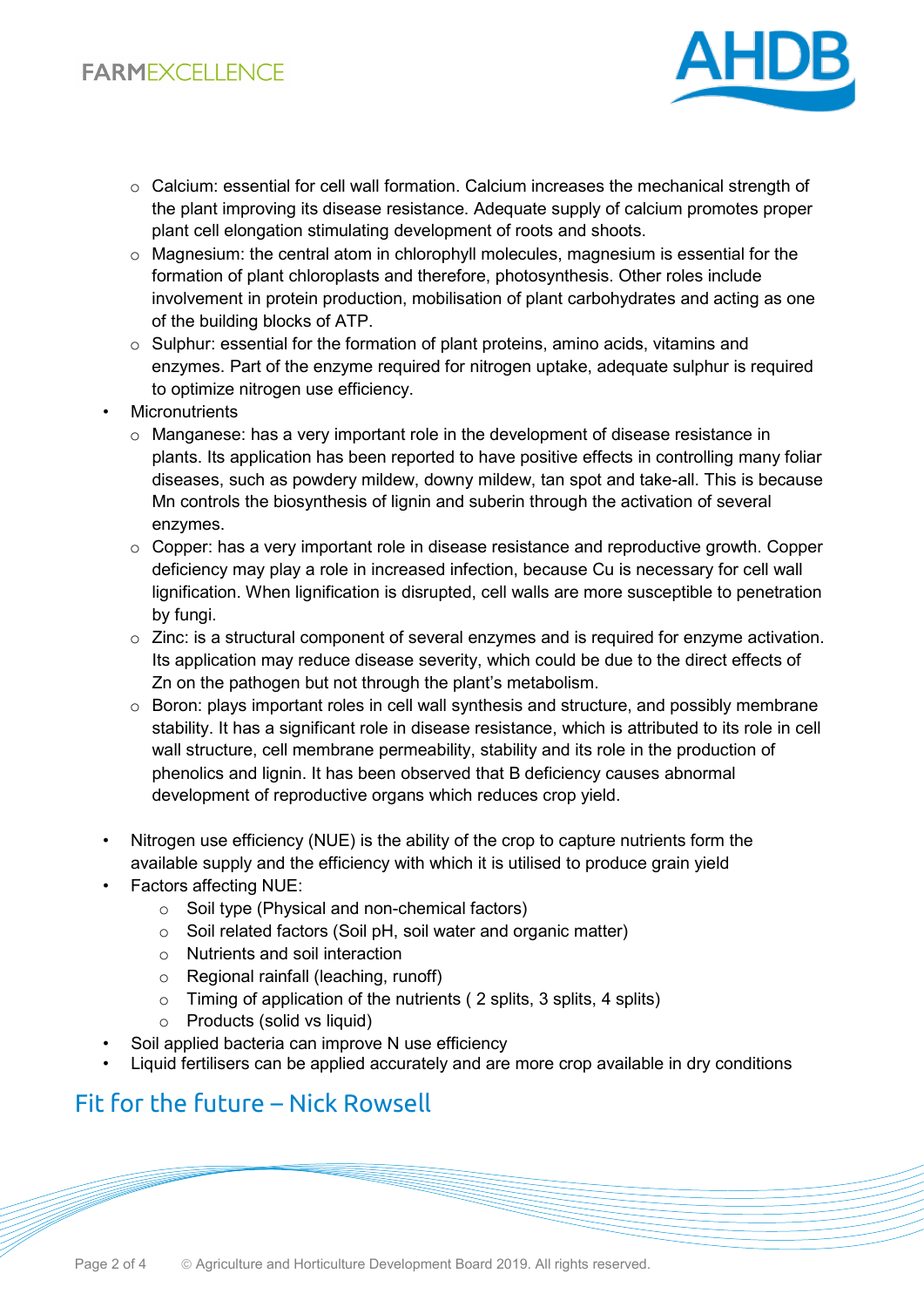

- $\circ$  Calcium: essential for cell wall formation. Calcium increases the mechanical strength of the plant improving its disease resistance. Adequate supply of calcium promotes proper plant cell elongation stimulating development of roots and shoots.
- $\circ$  Magnesium: the central atom in chlorophyll molecules, magnesium is essential for the formation of plant chloroplasts and therefore, photosynthesis. Other roles include involvement in protein production, mobilisation of plant carbohydrates and acting as one of the building blocks of ATP.
- $\circ$  Sulphur: essential for the formation of plant proteins, amino acids, vitamins and enzymes. Part of the enzyme required for nitrogen uptake, adequate sulphur is required to optimize nitrogen use efficiency.
- **Micronutrients** 
	- $\circ$  Manganese: has a very important role in the development of disease resistance in plants. Its application has been reported to have positive effects in controlling many foliar diseases, such as powdery mildew, downy mildew, tan spot and take-all. This is because Mn controls the biosynthesis of lignin and suberin through the activation of several enzymes.
	- $\circ$  Copper: has a very important role in disease resistance and reproductive growth. Copper deficiency may play a role in increased infection, because Cu is necessary for cell wall lignification. When lignification is disrupted, cell walls are more susceptible to penetration by fungi.
	- $\circ$  Zinc: is a structural component of several enzymes and is required for enzyme activation. Its application may reduce disease severity, which could be due to the direct effects of Zn on the pathogen but not through the plant's metabolism.
	- $\circ$  Boron: plays important roles in cell wall synthesis and structure, and possibly membrane stability. It has a significant role in disease resistance, which is attributed to its role in cell wall structure, cell membrane permeability, stability and its role in the production of phenolics and lignin. It has been observed that B deficiency causes abnormal development of reproductive organs which reduces crop yield.
- Nitrogen use efficiency (NUE) is the ability of the crop to capture nutrients form the available supply and the efficiency with which it is utilised to produce grain yield
- Factors affecting NUE:
	- o Soil type (Physical and non-chemical factors)
	- o Soil related factors (Soil pH, soil water and organic matter)
	- o Nutrients and soil interaction
	- o Regional rainfall (leaching, runoff)
	- $\circ$  Timing of application of the nutrients (2 splits, 3 splits, 4 splits)
	- o Products (solid vs liquid)
- Soil applied bacteria can improve N use efficiency
- Liquid fertilisers can be applied accurately and are more crop available in dry conditions

# Fit for the future – Nick Rowsell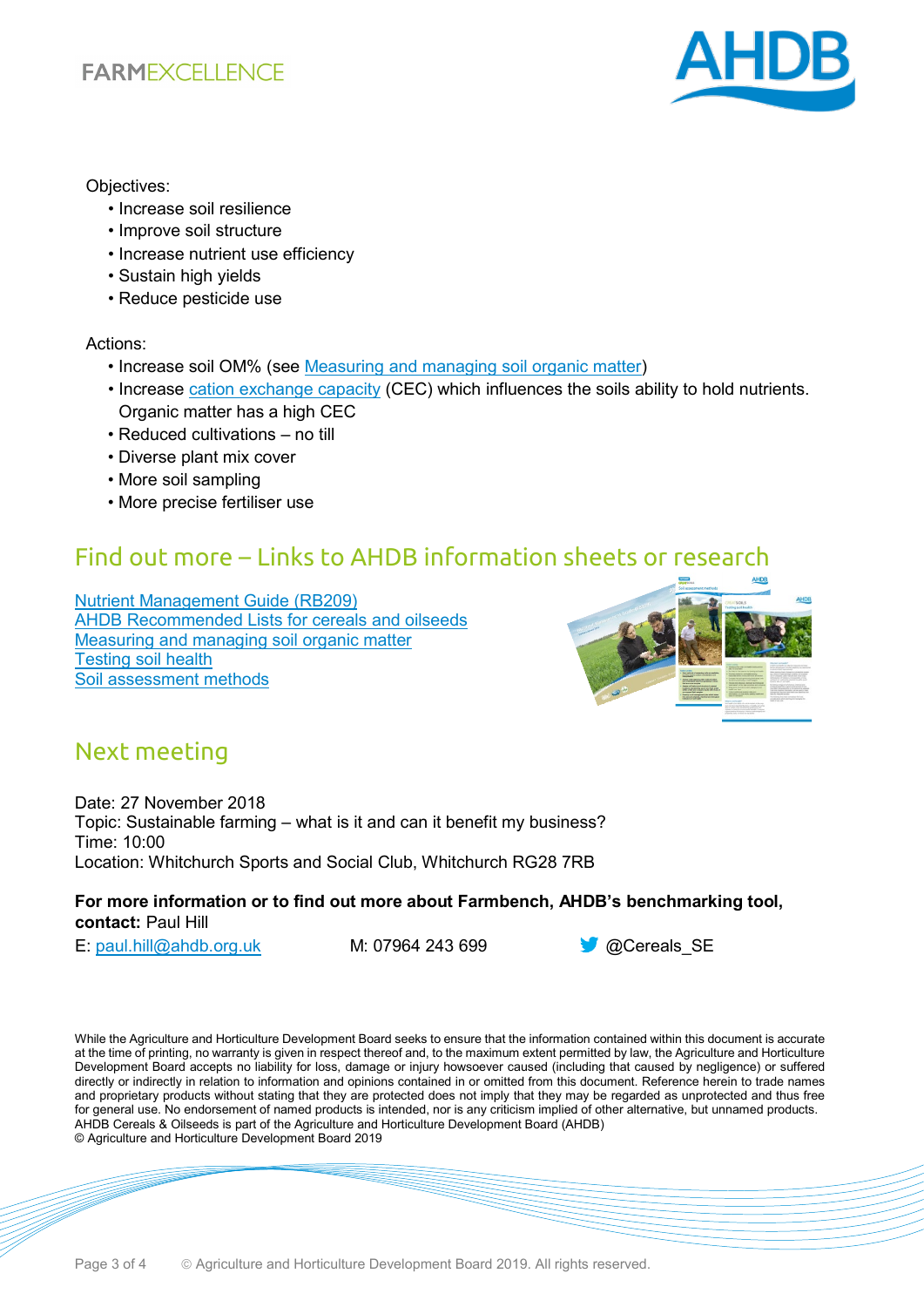#### **FARMEXCELLENCE**



Objectives:

- Increase soil resilience
- Improve soil structure
- Increase nutrient use efficiency
- Sustain high yields
- Reduce pesticide use

Actions:

- Increase soil OM% (see [Measuring and managing soil organic matter\)](https://ahdb.org.uk/knowledge-library/measuring-and-managing-soil-organic-matter)
- Increase [cation exchange capacity](http://www.soilquality.org.au/factsheets/cation-exchange-capacity) (CEC) which influences the soils ability to hold nutrients. Organic matter has a high CEC
- Reduced cultivations no till
- Diverse plant mix cover
- More soil sampling
- More precise fertiliser use

# Find out more – Links to AHDB information sheets or research

[Nutrient Management Guide \(RB209\)](https://www.ahdb.org.uk/knowledge-library/rb209-section-1-principles-of-nutrient-management-and-fertiliser-use) [AHDB Recommended Lists for cereals and oilseeds](https://www.ahdb.org.uk/rl) [Measuring and managing soil organic matter](https://ahdb.org.uk/knowledge-library/measuring-and-managing-soil-organic-matter) [Testing soil health](https://ahdb.org.uk/knowledge-library/testing-soil-health) [Soil assessment methods](https://ahdb.org.uk/knowledge-library/greatsoils-soil-assessment-methods)



# Next meeting

Date: 27 November 2018 Topic: Sustainable farming – what is it and can it benefit my business? Time: 10:00 Location: Whitchurch Sports and Social Club, Whitchurch RG28 7RB

#### **For more information or to find out more about Farmbench, AHDB's benchmarking tool, contact:** Paul Hill

E: [paul.hill@ahdb.org.uk](mailto:paul.hill@ahdb.org.uk) M: 07964 243 699  $\bigcirc$  @Cereals SE

While the Agriculture and Horticulture Development Board seeks to ensure that the information contained within this document is accurate at the time of printing, no warranty is given in respect thereof and, to the maximum extent permitted by law, the Agriculture and Horticulture Development Board accepts no liability for loss, damage or injury howsoever caused (including that caused by negligence) or suffered directly or indirectly in relation to information and opinions contained in or omitted from this document. Reference herein to trade names and proprietary products without stating that they are protected does not imply that they may be regarded as unprotected and thus free for general use. No endorsement of named products is intended, nor is any criticism implied of other alternative, but unnamed products. AHDB Cereals & Oilseeds is part of the Agriculture and Horticulture Development Board (AHDB) © Agriculture and Horticulture Development Board 2019